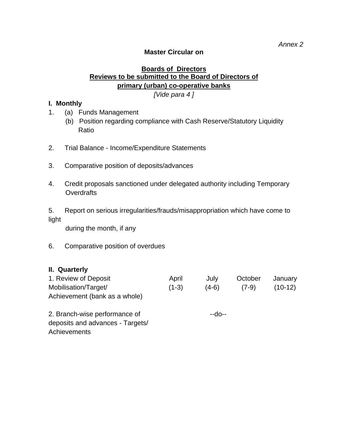### **Master Circular on**

## **Boards of Directors Reviews to be submitted to the Board of Directors of primary (urban) co-operative banks**

*[Vide para 4 ]* 

#### **I. Monthly**

- 1. (a) Funds Management
	- (b) Position regarding compliance with Cash Reserve/Statutory Liquidity Ratio
- 2. Trial Balance Income/Expenditure Statements
- 3. Comparative position of deposits/advances
- 4. Credit proposals sanctioned under delegated authority including Temporary **Overdrafts**

5. Report on serious irregularities/frauds/misappropriation which have come to light

during the month, if any

6. Comparative position of overdues

#### **II. Quarterly**

| 1. Review of Deposit<br>Mobilisation/Target/<br>Achievement (bank as a whole) | April<br>$(1-3)$ | July<br>$(4-6)$ | October<br>$(7-9)$ | January<br>$(10-12)$ |
|-------------------------------------------------------------------------------|------------------|-----------------|--------------------|----------------------|
| 2. Branch-wise performance of<br>deposits and advances - Targets/             |                  | --do--          |                    |                      |

**Achievements**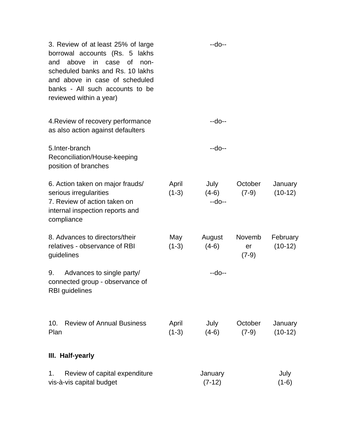| 3. Review of at least 25% of large<br>borrowal accounts (Rs. 5 lakhs<br>above<br>in case<br><b>of</b><br>and<br>non-<br>scheduled banks and Rs. 10 lakhs<br>and above in case of scheduled<br>banks - All such accounts to be<br>reviewed within a year) |                  | --do--                    |                         |                       |
|----------------------------------------------------------------------------------------------------------------------------------------------------------------------------------------------------------------------------------------------------------|------------------|---------------------------|-------------------------|-----------------------|
| 4. Review of recovery performance<br>as also action against defaulters                                                                                                                                                                                   |                  | --do--                    |                         |                       |
| 5. Inter-branch<br>Reconciliation/House-keeping<br>position of branches                                                                                                                                                                                  |                  | --do--                    |                         |                       |
| 6. Action taken on major frauds/<br>serious irregularities<br>7. Review of action taken on<br>internal inspection reports and<br>compliance                                                                                                              | April<br>$(1-3)$ | July<br>$(4-6)$<br>--do-- | October<br>$(7-9)$      | January<br>$(10-12)$  |
| 8. Advances to directors/their<br>relatives - observance of RBI<br>guidelines                                                                                                                                                                            | May<br>$(1-3)$   | August<br>$(4-6)$         | Novemb<br>er<br>$(7-9)$ | February<br>$(10-12)$ |
| 9.<br>Advances to single party/<br>connected group - observance of<br>RBI guidelines                                                                                                                                                                     |                  | --do--                    |                         |                       |
| <b>Review of Annual Business</b><br>10.<br>Plan                                                                                                                                                                                                          | April<br>$(1-3)$ | July<br>$(4-6)$           | October<br>$(7-9)$      | January<br>$(10-12)$  |
| III. Half-yearly                                                                                                                                                                                                                                         |                  |                           |                         |                       |
| Review of capital expenditure<br>1.<br>vis-à-vis capital budget                                                                                                                                                                                          |                  | January<br>$(7-12)$       |                         | July<br>$(1-6)$       |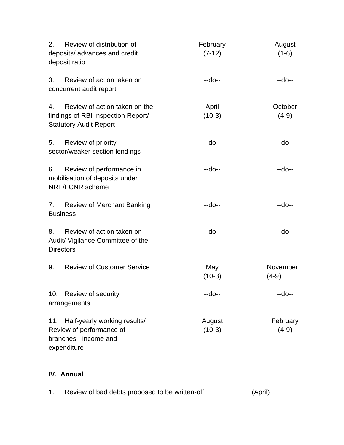| 2.  | Review of distribution of<br>deposits/ advances and credit<br>deposit ratio                          | February<br>$(7-12)$ | August<br>$(1-6)$   |
|-----|------------------------------------------------------------------------------------------------------|----------------------|---------------------|
| 3.  | Review of action taken on<br>concurrent audit report                                                 | --do--               | --do--              |
| 4.  | Review of action taken on the<br>findings of RBI Inspection Report/<br><b>Statutory Audit Report</b> | April<br>$(10-3)$    | October<br>$(4-9)$  |
| 5.  | Review of priority<br>sector/weaker section lendings                                                 | --do--               | --do--              |
| 6.  | Review of performance in<br>mobilisation of deposits under<br><b>NRE/FCNR</b> scheme                 | --do--               | --do--              |
| 7.  | <b>Review of Merchant Banking</b><br><b>Business</b>                                                 | --do--               | --do--              |
| 8.  | Review of action taken on<br>Audit/ Vigilance Committee of the<br><b>Directors</b>                   | --do--               | --do--              |
| 9.  | <b>Review of Customer Service</b>                                                                    | May<br>$(10-3)$      | November<br>$(4-9)$ |
| 10. | Review of security<br>arrangements                                                                   | --do--               | $-do-$              |
| 11. | Half-yearly working results/<br>Review of performance of<br>branches - income and<br>expenditure     | August<br>$(10-3)$   | February<br>$(4-9)$ |

# **IV. Annual**

|  | Review of bad debts proposed to be written-off | (April) |
|--|------------------------------------------------|---------|
|--|------------------------------------------------|---------|